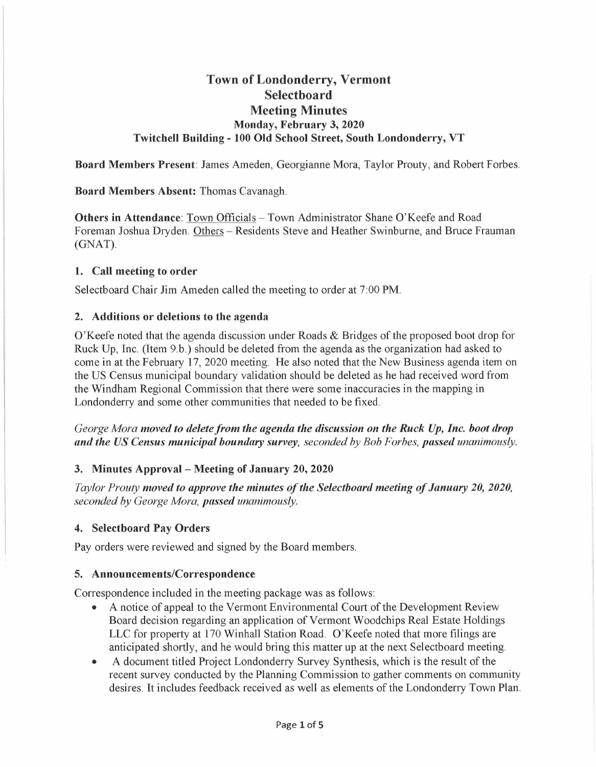# **Town of Londonderry, Vermont Selectboard Meeting Minutes Monday, February 3, 2020 Twitchell Building - 100 Old School Street, South Londonderry, VT**

**Board Members Present:** James Ameden, Georgianne Mora, Taylor Prouty, and Robert Forbes.

# **Board Members Absent:** Thomas Cavanagh.

**Others in Attendance**: Town Officials – Town Administrator Shane O'Keefe and Road Foreman Joshua Dryden. Others - Residents Steve and Heather Swinburne, and Bruce Frauman (GNAT).

# **1. Call meeting to order**

Selectboard Chair Jim Ameden called the meeting to order at 7:00 PM.

# **2. Additions or deletions to the agenda**

O'Keefe noted that the agenda discussion under Roads & Bridges of the proposed boot drop for Ruck Up, Inc. (Item 9.b.) should be deleted from the agenda as the organization had asked to come in at the February 17, 2020 meeting. He also noted that the New Business agenda item on the US Census municipal boundary validation should be deleted as he had received word from the Windham Regional Commission that there were some inaccuracies in the mapping in Londonderry and some other communities that needed to be fixed.

*George Mora moved to delete from the agenda the discussion on the Ruck Up, Inc. boot drop and the US Census municipal boundary survey, seconded by Bob Forbes, passed unanimously.* 

# **3. Minutes Approval - Meeting of January 20, 2020**

*Taylor Prouty moved to approve the minutes of the Selectboard meeting of January 20, 2020, seconded by George Mora, passed unanimously.* 

# **4. Selectboard Pay Orders**

Pay orders were reviewed and signed by the Board members.

# **5. Announcements/Correspondence**

Correspondence included in the meeting package was as follows:

- A notice of appeal to the Vermont Environmental Court of the Development Review Board decision regarding an application of Vermont Woodchips Real Estate Holdings LLC for property at 170 Winhall Station Road. O'Keefe noted that more filings are anticipated shortly, and he would bring this matter up at the next Selectboard meeting.
- A document titled Project Londonderry Survey Synthesis, which is the result of the recent survey conducted by the Planning Commission to gather comments on community desires. It includes feedback received as well as elements of the Londonderry Town Plan.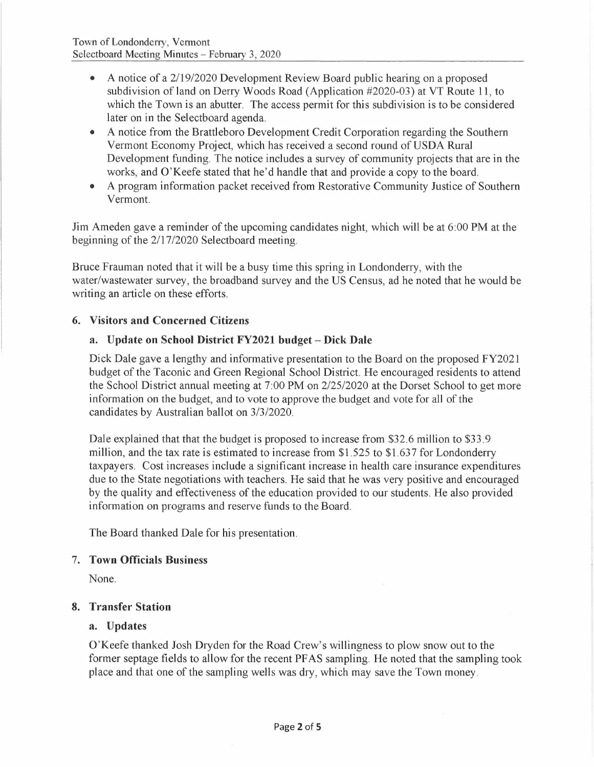- A notice of a 2/19/2020 Development Review Board public hearing on a proposed subdivision of land on Derry Woods Road (Application #2020-03) at VT Route 11, to which the Town is an abutter. The access permit for this subdivision is to be considered later on in the Selectboard agenda.
- A notice from the Brattleboro Development Credit Corporation regarding the Southern Vermont Economy Project, which has received a second round of USDA Rura <sup>l</sup> Development funding. The notice includes a survey of community projects that are in the works, and O'Keefe stated that he'd handle that and provide a copy to the board.
- A program information packet received from Restorative Community Justice of Southern Vermont.

Jim Ameden gave a reminder of the upcoming candidates night, which will be at 6:00 PM at the beginning of the 2/17/2020 Selectboard meeting.

Bruce Frauman noted that it will be a busy time this spring in Londonderry, with the water/wastewater survey, the broadband survey and the US Census, ad he noted that he would be writing an article on these efforts.

# **6. Visitors and Concerned Citizens**

# **a. Update on School District FY2021 budget - Dick Dale**

Dick Dale gave a lengthy and informative presentation to the Board on the proposed FY2021 budget of the Taconic and Green Regional School District. He encouraged residents to attend the School District annual meeting at 7:00 **PM** on 2/25/2020 at the Dorset School to get more information on the budget, and to vote to approve the budget and vote for all of the candidates by Australian ballot on 3/3/2020.

Dale explained that that the budget is proposed to increase from \$32.6 million to \$33.9 million, and the tax rate is estimated to increase from \$1.525 to \$1.637 for Londonderry taxpayers. Cost increases include a significant increase in health care insurance expenditures due to the State negotiations with teachers. He said that he was very positive and encouraged by the quality and effectiveness of the education provided to our students. He also provided information on programs and reserve funds to the Board.

The Board thanked Dale for his presentation.

# 7. **Town Officials Business**

None.

# **8. Transfer Station**

# **a. Updates**

O'Keefe thanked Josh Dryden for the Road Crew's willingness to plow snow out to the former septage fields to allow for the recent PF AS sampling. He noted that the sampling took place and that one of the sampling wells was dry, which may save the Town money.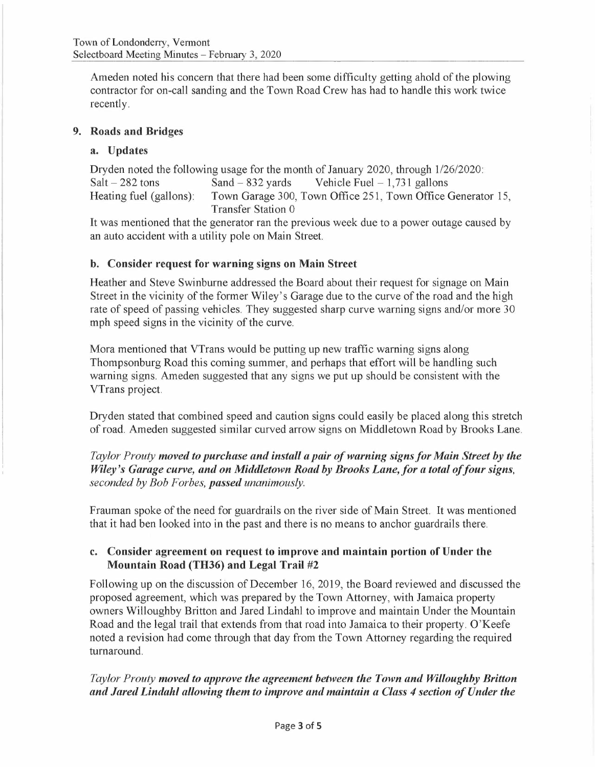Am eden noted his concern that there had been some difficulty getting ahold of the plowing contractor for on-call sanding and the Town Road Crew has had to handle this work twice recently.

# **9. Roads and Bridges**

# **a. Updates**

Dryden noted the following usage for the month of January 2020, through 1/26/2020: Salt  $- 282$  tons Sand  $- 832$  yards Vehicle Fuel  $- 1,731$  gallons<br>Heating fuel (gallons): Town Garage 300, Town Office 251, Town Office Town Garage 300, Town Office 251, Town Office Generator 15, Transfer Station 0

It was mentioned that the generator ran the previous week due to a power outage caused by an auto accident with a utility pole on Main Street.

# **b. Consider request for warning signs on Main Street**

Heather and Steve Swinburne addressed the Board about their request for signage on Main Street in the vicinity of the former Wiley's Garage due to the curve of the road and the high rate of speed of passing vehicles. They suggested sharp curve warning signs and/or more 30 mph speed signs in the vicinity of the curve.

Mora mentioned that VTrans would be putting up new traffic warning signs along Thompsonburg Road this coming summer, and perhaps that effort will be handling such warning signs. Ameden suggested that any signs we put up should be consistent with the VTrans project.

Dryden stated that combined speed and caution signs could easily be placed along this stretch of road. Am eden suggested similar curved arrow signs on Middletown Road by Brooks Lane.

*Taylor Prouty moved to purchase and install a pair of warning signs for Main Street by the Wiley's Garage curve, and on Middletown Road by Brooks Lane, for a total of four signs, seconded by Bob Forbes, passed unanimously.* 

Frauman spoke of the need for guardrails on the river side of Main Street. It was mentioned that it had ben looked into in the past and there is no means to anchor guardrails there.

# **c. Consider agreement on request to improve and maintain portion of Under the Mountain Road (TH36) and Legal Trail #2**

Following up on the discussion of December 16, 2019, the Board reviewed and discussed the proposed agreement, which was prepared by the Town Attorney, with Jamaica property owners Willoughby Britton and Jared Lindahl to improve and maintain Under the Mountain Road and the legal trail that extends from that road into Jamaica to their property. O'Keefe noted a revision had come through that day from the Town Attorney regarding the required turnaround.

# *Taylor Prouty moved to approve the agreement between the Town and Willoughby Britton and Jared Lindahl allowing them to improve and maintain a Class 4 section of Under the*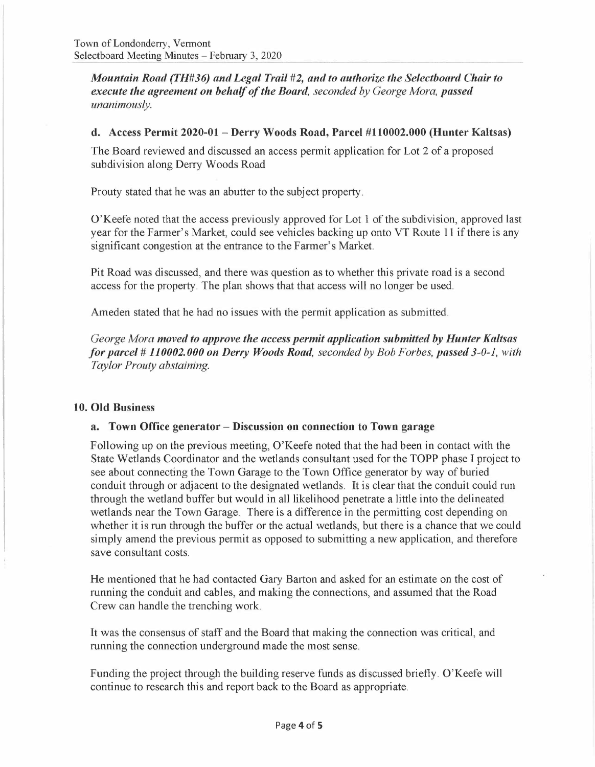*Mountain Road (TH#36) and Legal Trail #2, and to authorize the Selectboard Chair to execute the agreement on behalf of the Board, seconded by George Mora, passed unanimously.* 

#### **d. Access Permit 2020-01- Derry Woods Road, Parcel #110002.000 (Hunter Kaltsas)**

The Board reviewed and discussed an access permit application for Lot 2 of a proposed subdivision along Derry Woods Road

Prouty stated that he was an abutter to the subject property.

O'Keefe noted that the access previously approved for Lot 1 of the subdivision, approved last year for the Farmer's Market, could see vehicles backing up onto VT Route 11 if there is any significant congestion at the entrance to the Farmer's Market.

Pit Road was discussed, and there was question as to whether this private road is a second access for the property. The plan shows that that access will no longer be used.

Ameden stated that he had no issues with the permit application as submitted.

*George Mora moved to approve the access permit application submitted by Hunter Kaltsas for parcel# 110002.000 on Derry Woods Road, seconded by Bob Forbes, passed 3-0-1, with Taylor Prouty abstaining.* 

#### **10. Old Business**

#### **a. Town Office generator - Discussion on connection to Town garage**

Following up on the previous meeting, O'Keefe noted that the had been in contact with the State Wetlands Coordinator and the wetlands consultant used for the TOPP phase I project to see about connecting the Town Garage to the Town Office generator by way of buried conduit through or adjacent to the designated wetlands. It is clear that the conduit could run through the wetland buffer but would in all likelihood penetrate a little into the delineated wetlands near the Town Garage. There is a difference in the permitting cost depending on whether it is run through the buffer or the actual wetlands, but there is a chance that we could simply amend the previous permit as opposed to submitting a new application, and therefore save consultant costs.

He mentioned that he had contacted Gary Barton and asked for an estimate on the cost of running the conduit and cables, and making the connections, and assumed that the Road Crew can handle the trenching work.

It was the consensus of staff and the Board that making the connection was critical, and running the connection underground made the most sense.

Funding the project through the building reserve funds as discussed briefly. O'Keefe will continue to research this and report back to the Board as appropriate.